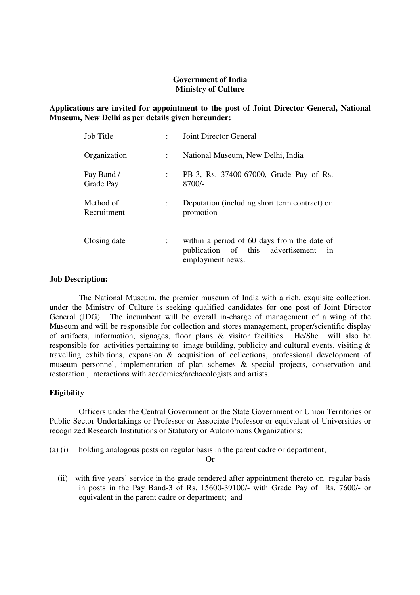#### **Government of India Ministry of Culture**

## **Applications are invited for appointment to the post of Joint Director General, National Museum, New Delhi as per details given hereunder:**

| Job Title                |                           | Joint Director General                                                                                     |  |  |
|--------------------------|---------------------------|------------------------------------------------------------------------------------------------------------|--|--|
| Organization             | $\mathbb{R}^{\mathbb{Z}}$ | National Museum, New Delhi, India                                                                          |  |  |
| Pay Band /<br>Grade Pay  |                           | PB-3, Rs. 37400-67000, Grade Pay of Rs.<br>$8700/-$                                                        |  |  |
| Method of<br>Recruitment |                           | Deputation (including short term contract) or<br>promotion                                                 |  |  |
| Closing date             |                           | within a period of 60 days from the date of<br>publication of this advertisement<br>in<br>employment news. |  |  |

#### **Job Description:**

The National Museum, the premier museum of India with a rich, exquisite collection, under the Ministry of Culture is seeking qualified candidates for one post of Joint Director General (JDG). The incumbent will be overall in-charge of management of a wing of the Museum and will be responsible for collection and stores management, proper/scientific display of artifacts, information, signages, floor plans & visitor facilities. He/She will also be responsible for activities pertaining to image building, publicity and cultural events, visiting & travelling exhibitions, expansion & acquisition of collections, professional development of museum personnel, implementation of plan schemes & special projects, conservation and restoration , interactions with academics/archaeologists and artists.

## **Eligibility**

Officers under the Central Government or the State Government or Union Territories or Public Sector Undertakings or Professor or Associate Professor or equivalent of Universities or recognized Research Institutions or Statutory or Autonomous Organizations:

(a) (i) holding analogous posts on regular basis in the parent cadre or department;

Or

 (ii) with five years' service in the grade rendered after appointment thereto on regular basis in posts in the Pay Band-3 of Rs. 15600-39100/- with Grade Pay of Rs. 7600/- or equivalent in the parent cadre or department; and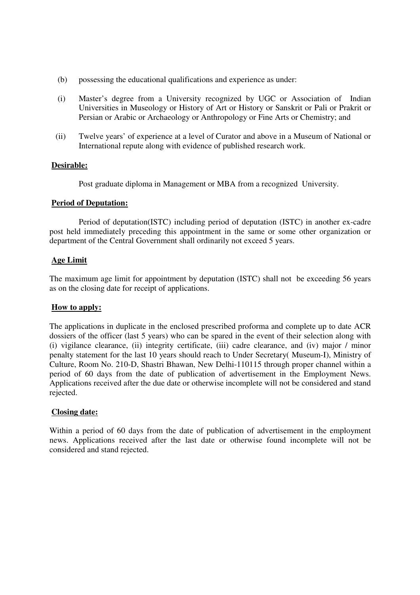- (b) possessing the educational qualifications and experience as under:
- (i) Master's degree from a University recognized by UGC or Association of Indian Universities in Museology or History of Art or History or Sanskrit or Pali or Prakrit or Persian or Arabic or Archaeology or Anthropology or Fine Arts or Chemistry; and
- (ii) Twelve years' of experience at a level of Curator and above in a Museum of National or International repute along with evidence of published research work.

#### **Desirable:**

Post graduate diploma in Management or MBA from a recognized University.

#### **Period of Deputation:**

 Period of deputation(ISTC) including period of deputation (ISTC) in another ex-cadre post held immediately preceding this appointment in the same or some other organization or department of the Central Government shall ordinarily not exceed 5 years.

#### **Age Limit**

 The maximum age limit for appointment by deputation (ISTC) shall not be exceeding 56 years as on the closing date for receipt of applications.

## **How to apply:**

The applications in duplicate in the enclosed prescribed proforma and complete up to date ACR dossiers of the officer (last 5 years) who can be spared in the event of their selection along with (i) vigilance clearance, (ii) integrity certificate, (iii) cadre clearance, and (iv) major / minor penalty statement for the last 10 years should reach to Under Secretary( Museum-I), Ministry of Culture, Room No. 210-D, Shastri Bhawan, New Delhi-110115 through proper channel within a period of 60 days from the date of publication of advertisement in the Employment News. Applications received after the due date or otherwise incomplete will not be considered and stand rejected.

## **Closing date:**

Within a period of 60 days from the date of publication of advertisement in the employment news. Applications received after the last date or otherwise found incomplete will not be considered and stand rejected.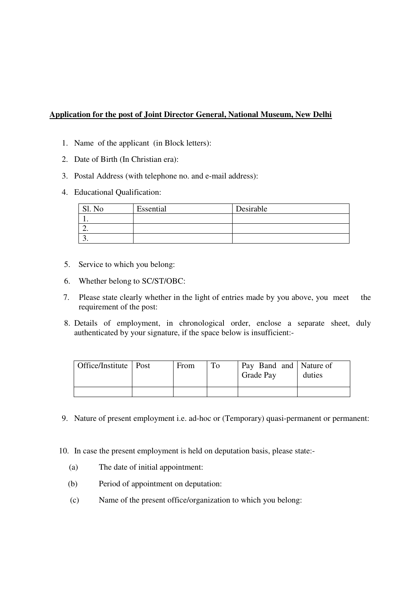# **Application for the post of Joint Director General, National Museum, New Delhi**

- 1. Name of the applicant (in Block letters):
- 2. Date of Birth (In Christian era):
- 3. Postal Address (with telephone no. and e-mail address):
- 4. Educational Qualification:

| No | Essential | Desirable |
|----|-----------|-----------|
|    |           |           |
|    |           |           |
|    |           |           |

- 5. Service to which you belong:
- 6. Whether belong to SC/ST/OBC:
- 7. Please state clearly whether in the light of entries made by you above, you meet the requirement of the post:
- 8. Details of employment, in chronological order, enclose a separate sheet, duly authenticated by your signature, if the space below is insufficient:-

| Office/Institute   Post | From | Pay Band and Nature of<br><b>Grade Pay</b> | duties |
|-------------------------|------|--------------------------------------------|--------|
|                         |      |                                            |        |

- 9. Nature of present employment i.e. ad-hoc or (Temporary) quasi-permanent or permanent:
- 10. In case the present employment is held on deputation basis, please state:-
	- (a) The date of initial appointment:
	- (b) Period of appointment on deputation:
	- (c) Name of the present office/organization to which you belong: